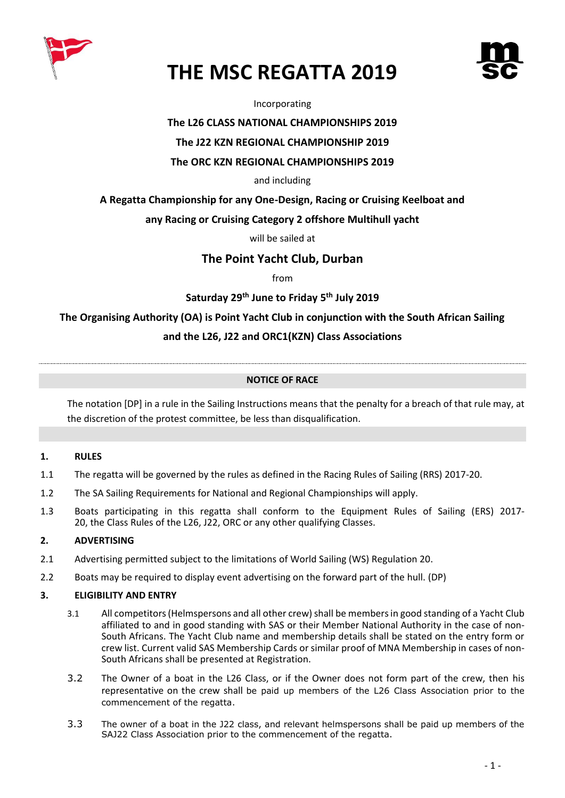



Incorporating

# **The L26 CLASS NATIONAL CHAMPIONSHIPS 2019**

# **The J22 KZN REGIONAL CHAMPIONSHIP 2019**

### **The ORC KZN REGIONAL CHAMPIONSHIPS 2019**

#### and including

# **A Regatta Championship for any One-Design, Racing or Cruising Keelboat and**

# **any Racing or Cruising Category 2 offshore Multihull yacht**

will be sailed at

# **The Point Yacht Club, Durban**

from

# **Saturday 29th June to Friday 5 th July 2019**

**The Organising Authority (OA) is Point Yacht Club in conjunction with the South African Sailing** 

# **and the L26, J22 and ORC1(KZN) Class Associations**

#### **NOTICE OF RACE**

The notation [DP] in a rule in the Sailing Instructions means that the penalty for a breach of that rule may, at the discretion of the protest committee, be less than disqualification.

# **1. RULES**

- 1.1 The regatta will be governed by the rules as defined in the Racing Rules of Sailing (RRS) 2017-20.
- 1.2 The SA Sailing Requirements for National and Regional Championships will apply.
- 1.3 Boats participating in this regatta shall conform to the Equipment Rules of Sailing (ERS) 2017- 20, the Class Rules of the L26, J22, ORC or any other qualifying Classes.

#### **2. ADVERTISING**

- 2.1 Advertising permitted subject to the limitations of World Sailing (WS) Regulation 20.
- 2.2 Boats may be required to display event advertising on the forward part of the hull. (DP)

#### **3. ELIGIBILITY AND ENTRY**

- 3.1 All competitors (Helmspersons and all other crew) shall be members in good standing of a Yacht Club affiliated to and in good standing with SAS or their Member National Authority in the case of non-South Africans. The Yacht Club name and membership details shall be stated on the entry form or crew list. Current valid SAS Membership Cards or similar proof of MNA Membership in cases of non-South Africans shall be presented at Registration.
- 3.2 The Owner of a boat in the L26 Class, or if the Owner does not form part of the crew, then his representative on the crew shall be paid up members of the L26 Class Association prior to the commencement of the regatta.
- 3.3 The owner of a boat in the J22 class, and relevant helmspersons shall be paid up members of the SAJ22 Class Association prior to the commencement of the regatta.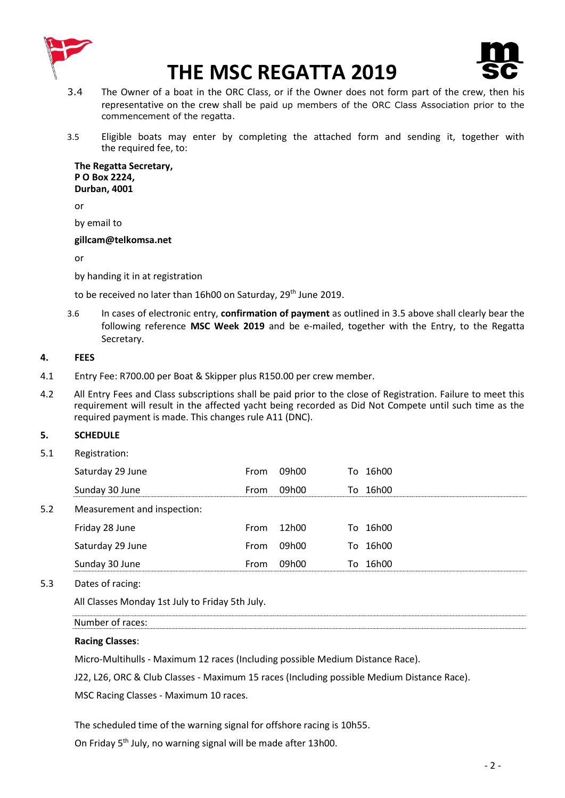



- 3.4 The Owner of a boat in the ORC Class, or if the Owner does not form part of the crew, then his representative on the crew shall be paid up members of the ORC Class Association prior to the commencement of the regatta.
- 3.5 Eligible boats may enter by completing the attached form and sending it, together with the required fee, to:

**The Regatta Secretary, P O Box 2224, Durban, 4001**

or

by email to

#### **gillcam@telkomsa.net**

or

by handing it in at registration

to be received no later than 16h00 on Saturday, 29<sup>th</sup> June 2019.

3.6 In cases of electronic entry, **confirmation of payment** as outlined in 3.5 above shall clearly bear the following reference **MSC Week 2019** and be e-mailed, together with the Entry, to the Regatta Secretary.

# **4. FEES**

- 4.1 Entry Fee: R700.00 per Boat & Skipper plus R150.00 per crew member.
- 4.2 All Entry Fees and Class subscriptions shall be paid prior to the close of Registration. Failure to meet this requirement will result in the affected yacht being recorded as Did Not Compete until such time as the required payment is made. This changes rule A11 (DNC).

# **5. SCHEDULE**

5.1 Registration:

|     | Saturday 29 June            | From | 09h00 |     | To 16h00 |
|-----|-----------------------------|------|-------|-----|----------|
|     | Sunday 30 June              | From | 09h00 |     | To 16h00 |
| 5.2 | Measurement and inspection: |      |       |     |          |
|     | Friday 28 June              | From | 12h00 |     | To 16h00 |
|     | Saturday 29 June            | From | 09h00 |     | To 16h00 |
|     | Sunday 30 June              | From | 09h00 | To. | 16h00    |
|     |                             |      |       |     |          |

5.3 Dates of racing:

All Classes Monday 1st July to Friday 5th July.

Number of races:

# **Racing Classes**:

Micro-Multihulls - Maximum 12 races (Including possible Medium Distance Race).

J22, L26, ORC & Club Classes - Maximum 15 races (Including possible Medium Distance Race).

MSC Racing Classes - Maximum 10 races.

The scheduled time of the warning signal for offshore racing is 10h55.

On Friday 5<sup>th</sup> July, no warning signal will be made after 13h00.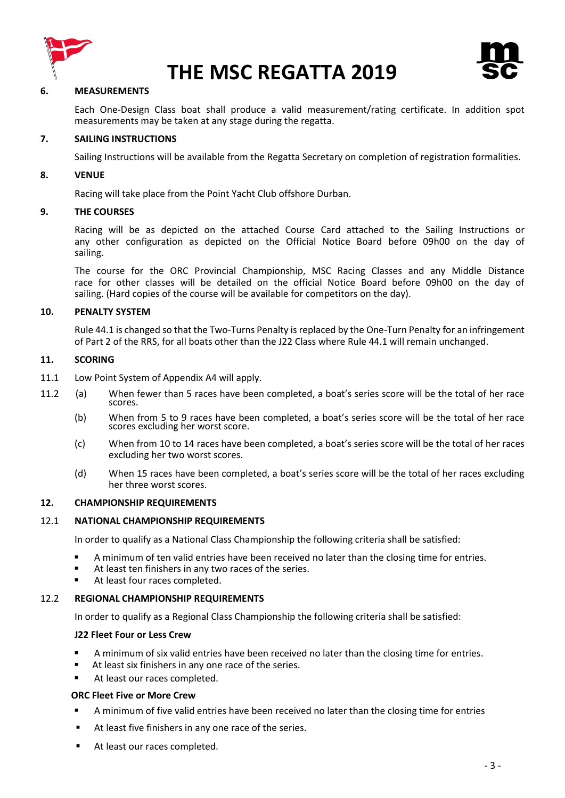



#### **6. MEASUREMENTS**

Each One-Design Class boat shall produce a valid measurement/rating certificate. In addition spot measurements may be taken at any stage during the regatta.

#### **7. SAILING INSTRUCTIONS**

Sailing Instructions will be available from the Regatta Secretary on completion of registration formalities.

#### **8. VENUE**

Racing will take place from the Point Yacht Club offshore Durban.

#### **9. THE COURSES**

Racing will be as depicted on the attached Course Card attached to the Sailing Instructions or any other configuration as depicted on the Official Notice Board before 09h00 on the day of sailing.

The course for the ORC Provincial Championship, MSC Racing Classes and any Middle Distance race for other classes will be detailed on the official Notice Board before 09h00 on the day of sailing. (Hard copies of the course will be available for competitors on the day).

#### **10. PENALTY SYSTEM**

Rule 44.1 is changed so that the Two-Turns Penalty is replaced by the One-Turn Penalty for an infringement of Part 2 of the RRS, for all boats other than the J22 Class where Rule 44.1 will remain unchanged.

#### **11. SCORING**

- 11.1 Low Point System of Appendix A4 will apply.
- 11.2(a) When fewer than 5 races have been completed, a boat's series score will be the total of her race scores.
	- (b) When from 5 to 9 races have been completed, a boat's series score will be the total of her race scores excluding her worst score.
	- (c) When from 10 to 14 races have been completed, a boat's series score will be the total of her races excluding her two worst scores.
	- (d) When 15 races have been completed, a boat's series score will be the total of her races excluding her three worst scores.

#### **12. CHAMPIONSHIP REQUIREMENTS**

#### 12.1 **NATIONAL CHAMPIONSHIP REQUIREMENTS**

In order to qualify as a National Class Championship the following criteria shall be satisfied:

- A minimum of ten valid entries have been received no later than the closing time for entries.
- At least ten finishers in any two races of the series.
- At least four races completed.

#### 12.2 **REGIONAL CHAMPIONSHIP REQUIREMENTS**

In order to qualify as a Regional Class Championship the following criteria shall be satisfied:

#### **J22 Fleet Four or Less Crew**

- A minimum of six valid entries have been received no later than the closing time for entries.
- At least six finishers in any one race of the series.
- At least our races completed.

#### **ORC Fleet Five or More Crew**

- A minimum of five valid entries have been received no later than the closing time for entries
- At least five finishers in any one race of the series.
- **At least our races completed.**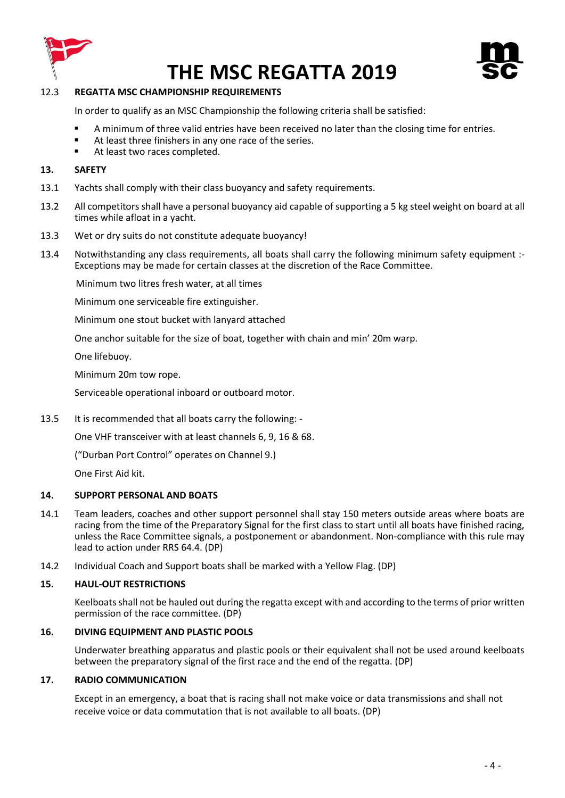



# 12.3 **REGATTA MSC CHAMPIONSHIP REQUIREMENTS**

In order to qualify as an MSC Championship the following criteria shall be satisfied:

- A minimum of three valid entries have been received no later than the closing time for entries.
- At least three finishers in any one race of the series.
- At least two races completed.

# **13. SAFETY**

- 13.1 Yachts shall comply with their class buoyancy and safety requirements.
- 13.2 All competitors shall have a personal buoyancy aid capable of supporting a 5 kg steel weight on board at all times while afloat in a yacht.
- 13.3 Wet or dry suits do not constitute adequate buoyancy!
- 13.4 Notwithstanding any class requirements, all boats shall carry the following minimum safety equipment :- Exceptions may be made for certain classes at the discretion of the Race Committee.

Minimum two litres fresh water, at all times

Minimum one serviceable fire extinguisher.

Minimum one stout bucket with lanyard attached

One anchor suitable for the size of boat, together with chain and min' 20m warp.

One lifebuoy.

Minimum 20m tow rope.

Serviceable operational inboard or outboard motor.

13.5 It is recommended that all boats carry the following: -

One VHF transceiver with at least channels 6, 9, 16 & 68.

("Durban Port Control" operates on Channel 9.)

One First Aid kit.

# **14. SUPPORT PERSONAL AND BOATS**

- 14.1 Team leaders, coaches and other support personnel shall stay 150 meters outside areas where boats are racing from the time of the Preparatory Signal for the first class to start until all boats have finished racing, unless the Race Committee signals, a postponement or abandonment. Non-compliance with this rule may lead to action under RRS 64.4. (DP)
- 14.2 Individual Coach and Support boats shall be marked with a Yellow Flag. (DP)

# **15. HAUL-OUT RESTRICTIONS**

Keelboats shall not be hauled out during the regatta except with and according to the terms of prior written permission of the race committee. (DP)

# **16. DIVING EQUIPMENT AND PLASTIC POOLS**

Underwater breathing apparatus and plastic pools or their equivalent shall not be used around keelboats between the preparatory signal of the first race and the end of the regatta. (DP)

#### **17. RADIO COMMUNICATION**

Except in an emergency, a boat that is racing shall not make voice or data transmissions and shall not receive voice or data commutation that is not available to all boats. (DP)